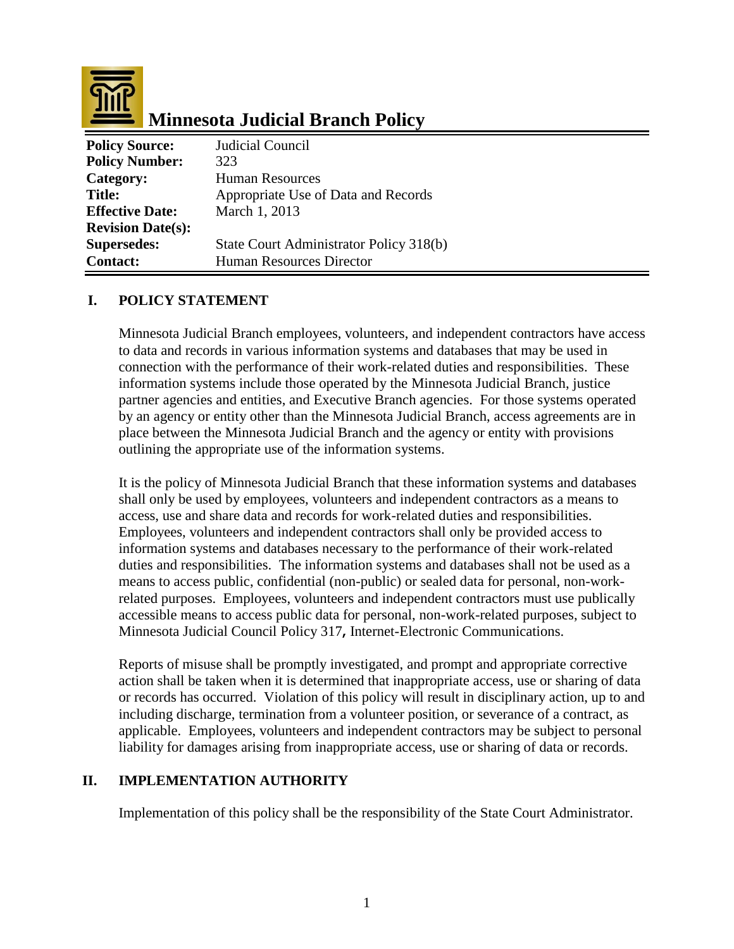

# **Minnesota Judicial Branch Policy**

| <b>Policy Source:</b>    | Judicial Council                        |
|--------------------------|-----------------------------------------|
| <b>Policy Number:</b>    | 323                                     |
| Category:                | <b>Human Resources</b>                  |
| <b>Title:</b>            | Appropriate Use of Data and Records     |
| <b>Effective Date:</b>   | March 1, 2013                           |
| <b>Revision Date(s):</b> |                                         |
| <b>Supersedes:</b>       | State Court Administrator Policy 318(b) |
| <b>Contact:</b>          | <b>Human Resources Director</b>         |

#### **I. POLICY STATEMENT**

Minnesota Judicial Branch employees, volunteers, and independent contractors have access to data and records in various information systems and databases that may be used in connection with the performance of their work-related duties and responsibilities. These information systems include those operated by the Minnesota Judicial Branch, justice partner agencies and entities, and Executive Branch agencies. For those systems operated by an agency or entity other than the Minnesota Judicial Branch, access agreements are in place between the Minnesota Judicial Branch and the agency or entity with provisions outlining the appropriate use of the information systems.

It is the policy of Minnesota Judicial Branch that these information systems and databases shall only be used by employees, volunteers and independent contractors as a means to access, use and share data and records for work-related duties and responsibilities. Employees, volunteers and independent contractors shall only be provided access to information systems and databases necessary to the performance of their work-related duties and responsibilities. The information systems and databases shall not be used as a means to access public, confidential (non-public) or sealed data for personal, non-workrelated purposes. Employees, volunteers and independent contractors must use publically accessible means to access public data for personal, non-work-related purposes, subject to Minnesota Judicial Council Policy 317**,** Internet-Electronic Communications.

Reports of misuse shall be promptly investigated, and prompt and appropriate corrective action shall be taken when it is determined that inappropriate access, use or sharing of data or records has occurred. Violation of this policy will result in disciplinary action, up to and including discharge, termination from a volunteer position, or severance of a contract, as applicable. Employees, volunteers and independent contractors may be subject to personal liability for damages arising from inappropriate access, use or sharing of data or records.

#### **II. IMPLEMENTATION AUTHORITY**

Implementation of this policy shall be the responsibility of the State Court Administrator.